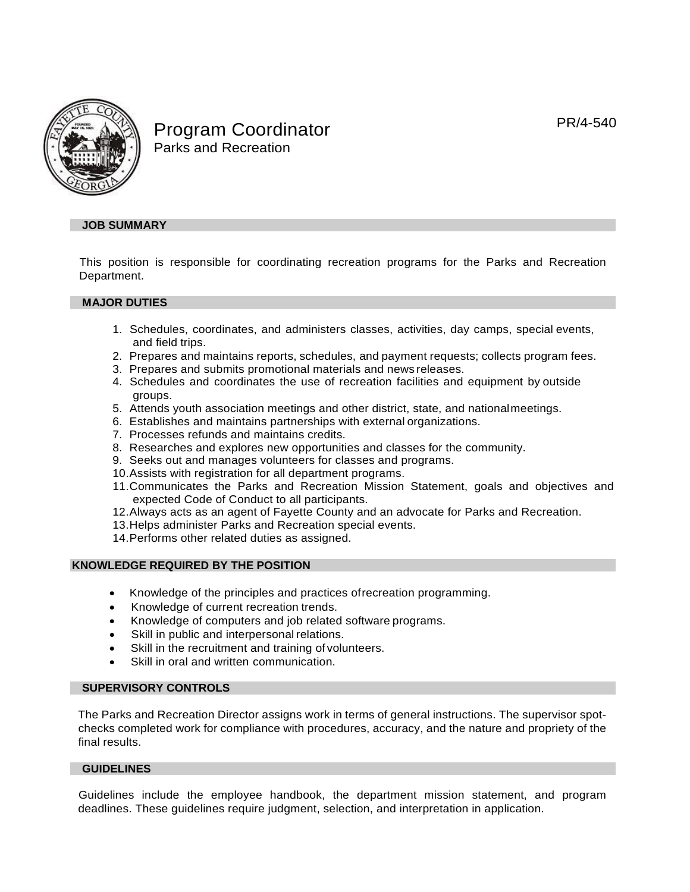PR/4-540



Program Coordinator Parks and Recreation

# **JOB SUMMARY**

This position is responsible for coordinating recreation programs for the Parks and Recreation Department.

## **MAJOR DUTIES**

- 1. Schedules, coordinates, and administers classes, activities, day camps, special events, and field trips.
- 2. Prepares and maintains reports, schedules, and payment requests; collects program fees.
- 3. Prepares and submits promotional materials and news releases.
- 4. Schedules and coordinates the use of recreation facilities and equipment by outside groups.
- 5. Attends youth association meetings and other district, state, and nationalmeetings.
- 6. Establishes and maintains partnerships with external organizations.
- 7. Processes refunds and maintains credits.
- 8. Researches and explores new opportunities and classes for the community.
- 9. Seeks out and manages volunteers for classes and programs.
- 10.Assists with registration for all department programs.
- 11.Communicates the Parks and Recreation Mission Statement, goals and objectives and expected Code of Conduct to all participants.
- 12.Always acts as an agent of Fayette County and an advocate for Parks and Recreation.
- 13.Helps administer Parks and Recreation special events.
- 14.Performs other related duties as assigned.

#### **KNOWLEDGE REQUIRED BY THE POSITION**

- Knowledge of the principles and practices ofrecreation programming.
- Knowledge of current recreation trends.
- Knowledge of computers and job related software programs.
- Skill in public and interpersonal relations.
- Skill in the recruitment and training of volunteers.
- Skill in oral and written communication.

## **SUPERVISORY CONTROLS**

The Parks and Recreation Director assigns work in terms of general instructions. The supervisor spotchecks completed work for compliance with procedures, accuracy, and the nature and propriety of the final results.

## **GUIDELINES**

Guidelines include the employee handbook, the department mission statement, and program deadlines. These guidelines require judgment, selection, and interpretation in application.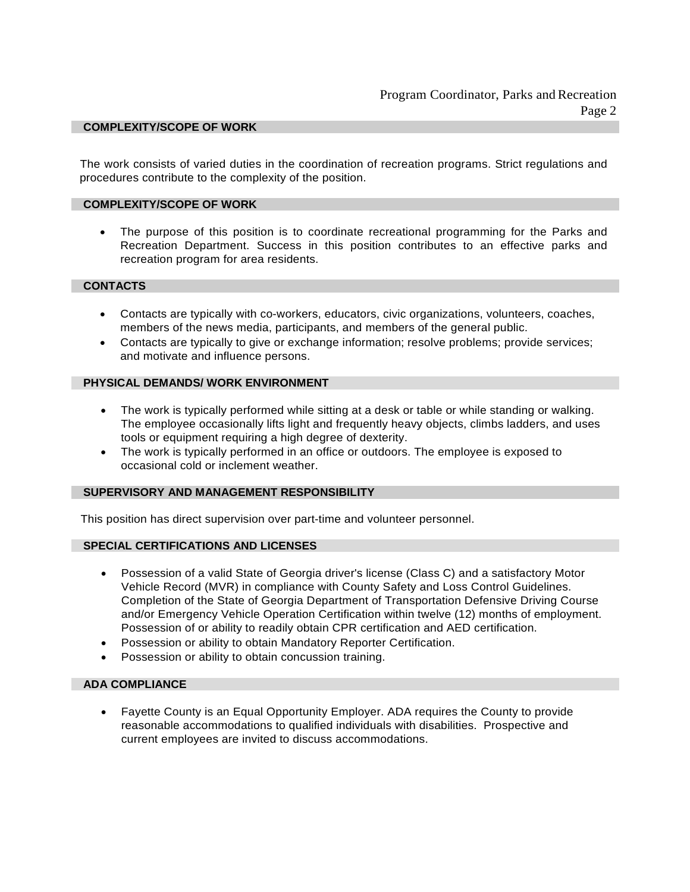## **COMPLEXITY/SCOPE OF WORK**

The work consists of varied duties in the coordination of recreation programs. Strict regulations and procedures contribute to the complexity of the position.

#### **COMPLEXITY/SCOPE OF WORK**

The purpose of this position is to coordinate recreational programming for the Parks and Recreation Department. Success in this position contributes to an effective parks and recreation program for area residents.

## **CONTACTS**

- Contacts are typically with co-workers, educators, civic organizations, volunteers, coaches, members of the news media, participants, and members of the general public.
- Contacts are typically to give or exchange information; resolve problems; provide services; and motivate and influence persons.

## **PHYSICAL DEMANDS/ WORK ENVIRONMENT**

- The work is typically performed while sitting at a desk or table or while standing or walking. The employee occasionally lifts light and frequently heavy objects, climbs ladders, and uses tools or equipment requiring a high degree of dexterity.
- The work is typically performed in an office or outdoors. The employee is exposed to occasional cold or inclement weather.

#### **SUPERVISORY AND MANAGEMENT RESPONSIBILITY**

This position has direct supervision over part-time and volunteer personnel.

# **SPECIAL CERTIFICATIONS AND LICENSES**

- Possession of a valid State of Georgia driver's license (Class C) and a satisfactory Motor Vehicle Record (MVR) in compliance with County Safety and Loss Control Guidelines. Completion of the State of Georgia Department of Transportation Defensive Driving Course and/or Emergency Vehicle Operation Certification within twelve (12) months of employment. Possession of or ability to readily obtain CPR certification and AED certification.
- Possession or ability to obtain Mandatory Reporter Certification.
- Possession or ability to obtain concussion training.

#### **ADA COMPLIANCE**

• Fayette County is an Equal Opportunity Employer. ADA requires the County to provide reasonable accommodations to qualified individuals with disabilities. Prospective and current employees are invited to discuss accommodations.